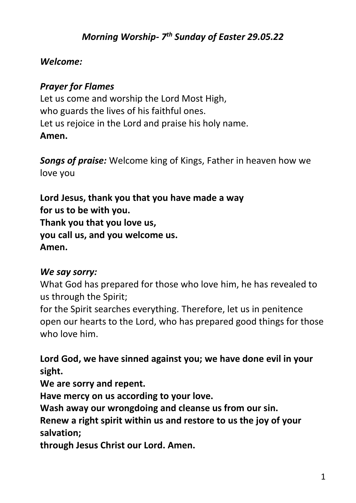## *Morning Worship- 7 th Sunday of Easter 29.05.22*

#### *Welcome:*

### *Prayer for Flames*

Let us come and worship the Lord Most High, who guards the lives of his faithful ones. Let us rejoice in the Lord and praise his holy name. **Amen.**

*Songs of praise:* Welcome king of Kings, Father in heaven how we love you

**Lord Jesus, thank you that you have made a way for us to be with you. Thank you that you love us, you call us, and you welcome us. Amen.**

### *We say sorry:*

What God has prepared for those who love him, he has revealed to us through the Spirit;

for the Spirit searches everything. Therefore, let us in penitence open our hearts to the Lord, who has prepared good things for those who love him.

**Lord God, we have sinned against you; we have done evil in your sight.**

**We are sorry and repent.**

**Have mercy on us according to your love.**

**Wash away our wrongdoing and cleanse us from our sin.**

**Renew a right spirit within us and restore to us the joy of your salvation;**

**through Jesus Christ our Lord. Amen.**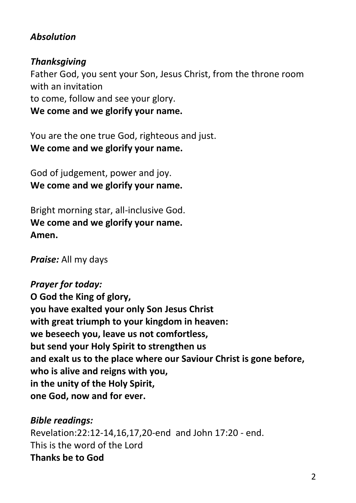## *Absolution*

### *Thanksgiving*

Father God, you sent your Son, Jesus Christ, from the throne room with an invitation

to come, follow and see your glory.

**We come and we glorify your name.**

You are the one true God, righteous and just. **We come and we glorify your name.**

God of judgement, power and joy. **We come and we glorify your name.**

Bright morning star, all-inclusive God. **We come and we glorify your name. Amen.**

*Praise:* All my days

*Prayer for today:* **O God the King of glory, you have exalted your only Son Jesus Christ with great triumph to your kingdom in heaven: we beseech you, leave us not comfortless, but send your Holy Spirit to strengthen us and exalt us to the place where our Saviour Christ is gone before, who is alive and reigns with you, in the unity of the Holy Spirit, one God, now and for ever.**

*Bible readings:*

Revelation:22:12-14,16,17,20-end and John 17:20 - end. This is the word of the Lord **Thanks be to God**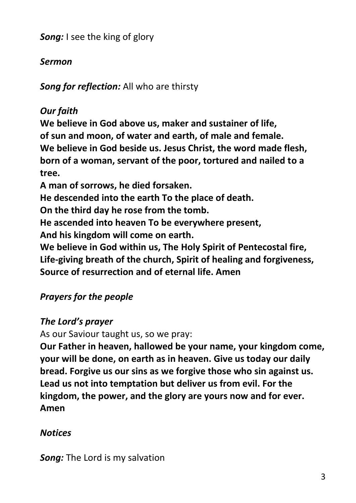*Song:* I see the king of glory

## *Sermon*

*Song for reflection:* All who are thirsty

# *Our faith*

**We believe in God above us, maker and sustainer of life, of sun and moon, of water and earth, of male and female. We believe in God beside us. Jesus Christ, the word made flesh, born of a woman, servant of the poor, tortured and nailed to a tree.** 

**A man of sorrows, he died forsaken.**

**He descended into the earth To the place of death.**

**On the third day he rose from the tomb.**

**He ascended into heaven To be everywhere present,**

**And his kingdom will come on earth.**

**We believe in God within us, The Holy Spirit of Pentecostal fire, Life-giving breath of the church, Spirit of healing and forgiveness, Source of resurrection and of eternal life. Amen**

# *Prayers for the people*

# *The Lord's prayer*

As our Saviour taught us, so we pray:

**Our Father in heaven, hallowed be your name, your kingdom come, your will be done, on earth as in heaven. Give us today our daily bread. Forgive us our sins as we forgive those who sin against us. Lead us not into temptation but deliver us from evil. For the kingdom, the power, and the glory are yours now and for ever. Amen**

# *Notices*

*Song:* The Lord is my salvation